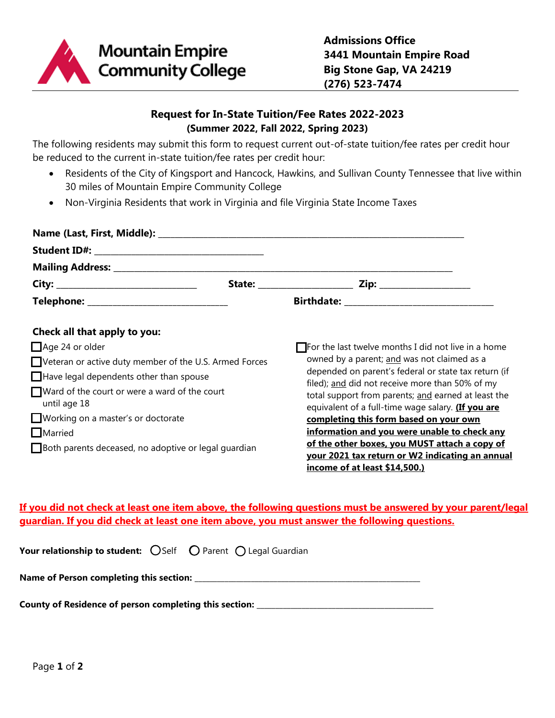

# **Request for In-State Tuition/Fee Rates 2022-2023 (Summer 2022, Fall 2022, Spring 2023)**

The following residents may submit this form to request current out-of-state tuition/fee rates per credit hour be reduced to the current in-state tuition/fee rates per credit hour:

- Residents of the City of Kingsport and Hancock, Hawkins, and Sullivan County Tennessee that live within 30 miles of Mountain Empire Community College
- Non-Virginia Residents that work in Virginia and file Virginia State Income Taxes

| Telephone: _____________________________                                  |  |                                                                                                                  |  |  |  |  |  |
|---------------------------------------------------------------------------|--|------------------------------------------------------------------------------------------------------------------|--|--|--|--|--|
| Check all that apply to you:                                              |  |                                                                                                                  |  |  |  |  |  |
| Age 24 or older<br>Veteran or active duty member of the U.S. Armed Forces |  | $\Box$ For the last twelve months I did not live in a home                                                       |  |  |  |  |  |
|                                                                           |  | owned by a parent; and was not claimed as a<br>depended on parent's federal or state tax return (if              |  |  |  |  |  |
| $\Box$ Have legal dependents other than spouse                            |  | filed); and did not receive more than 50% of my                                                                  |  |  |  |  |  |
| $\Box$ Ward of the court or were a ward of the court<br>until age 18      |  | total support from parents; and earned at least the<br>equivalent of a full-time wage salary. <b>(If you are</b> |  |  |  |  |  |
| Working on a master's or doctorate                                        |  | completing this form based on your own                                                                           |  |  |  |  |  |
| $\Box$ Married                                                            |  | information and you were unable to check any                                                                     |  |  |  |  |  |
| Both parents deceased, no adoptive or legal guardian                      |  | of the other boxes, you MUST attach a copy of                                                                    |  |  |  |  |  |
|                                                                           |  | vour 2021 tax return or W2 indicating an annual                                                                  |  |  |  |  |  |
|                                                                           |  | <u>income of at least \$14,500.)</u>                                                                             |  |  |  |  |  |

## **If you did not check at least one item above, the following questions must be answered by your parent/legal guardian. If you did check at least one item above, you must answer the following questions.**

**Your relationship to student:**  $O$  Self  $O$  Parent  $O$  Legal Guardian

**Name of Person completing this section:** \_\_\_\_\_\_\_\_\_\_\_\_\_\_\_\_\_\_\_\_\_\_\_\_\_\_\_\_\_\_\_\_\_\_\_\_\_\_\_\_\_\_\_\_\_\_\_\_\_\_\_\_\_\_\_\_\_\_\_\_

**County of Residence of person completing this section: \_\_\_\_\_\_\_\_\_\_\_\_\_\_\_\_\_\_\_\_\_\_\_\_\_\_\_\_\_\_\_\_\_\_\_\_\_\_\_\_\_\_\_\_\_\_\_**